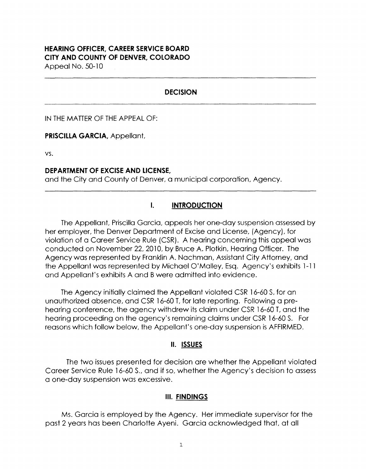#### **HEARING OFFICER, CAREER SERVICE BOARD CITY AND COUNTY OF DENVER, COLORADO**

Appeal No. 50-10

### **DECISION**

IN THE MATTER OF THE APPEAL OF:

**PRISCILLA GARCIA,** Appellant,

vs.

#### **DEPARTMENT OF EXCISE AND LICENSE,**

and the City and County of Denver, a municipal corporation, Agency.

## **I. INTRODUCTION**

The Appellant, Priscilla Garcia, appeals her one-day suspension assessed by her employer, the Denver Department of Excise and License, (Agency), for violation of a Career Service Rule (CSR). A hearing concerning this appeal was conducted on November 22, 2010, by Bruce A. Plotkin, Hearing Officer. The Agency was represented by Franklin A. Nachman, Assistant City Attorney, and the Appellant was represented by Michael O' Malley, Esq. Agency's exhibits 1-11 and Appellant's exhibits A and B were admitted into evidence.

The Agency initially claimed the Appellant violated CSR 16-60 S, for an unauthorized absence, and CSR 16-60 T, for late reporting. Following a prehearing conference, the agency withdrew its claim under CSR 16-60 T, and the hearing proceeding on the agency's remaining claims under CSR 16-60 S. For reasons which follow below, the Appellant's one-day suspension is AFFIRMED.

### **II. ISSUES**

The two issues presented for decision are whether the Appellant violated Career Service Rule 16-60 S., and if so, whether the Agency's decision to assess a one-day suspension was excessive.

### **Ill. FINDINGS**

Ms. Garcia is employed by the Agency. Her immediate supervisor for the past 2 years has been Charlotte Ayeni. Garcia acknowledged that, at all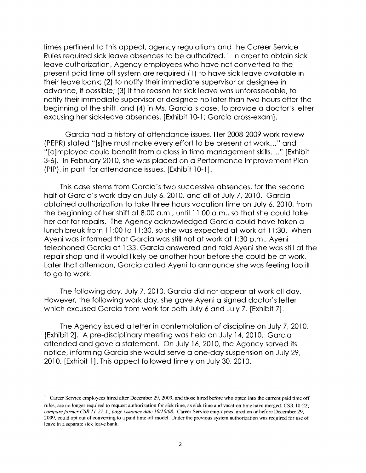times pertinent to this appeal, agency regulations and the Career Service Rules required sick leave absences to be authorized.<sup>1</sup> In order to obtain sick leave authorization, Agency employees who have not converted to the present paid time off system are required ( 1) to have sick leave available in their leave bank; (2) to notify their immediate supervisor or designee in advance, if possible; (3) if the reason for sick leave was unforeseeable, to notify their immediate supervisor or designee no later than two hours after the beginning of the shift, and (4) in Ms. Garcia's case, to provide a doctor's letter excusing her sick-leave absences. [Exhibit 10-1; Garcia cross-exam].

Garcia had a history of attendance issues. Her 2008-2009 work review (PEPR) stated "[s]he must make every effort to be present at work ... " and "[e]mployee could benefit from a class in time management skills .... " [Exhibit 3-6]. In February 2010, she was placed on a Performance Improvement Plan (PIP), in part, for attendance issues. [Exhibit 10-1].

This case stems from Garcia's two successive absences, for the second half of Garcia's work day on July 6, 2010, and all of July 7,2010. Garcia obtained authorization to take three hours vacation time on July 6, 2010, from the beginning of her shift at 8:00 a.m., until 11 :00 a.m., so that she could take her car for repairs. The Agency acknowledged Garcia could have taken a lunch break from 11 :00 to 11 :30, so she was expected at work at 11 :30. When Ayeni was informed that Garcia was still not at work at 1 :30 p.m., Ayeni telephoned Garcia at 1 :33. Garcia answered and told Ayeni she was still at the repair shop and it would likely be another hour before she could be at work. Later that afternoon, Garcia called Ayeni to announce she was feeling too ill to go to work.

The following day, July 7, 2010, Garcia did not appear at work all day. However, the following work day, she gave Ayeni a signed doctor's letter which excused Garcia from work for both July 6 and July 7. [Exhibit 7].

The Agency issued a letter in contemplation of discipline on July 7, 2010. [Exhibit 2]. A pre-disciplinary meeting was held on July 14, 2010. Garcia attended and gave a statement. On July 16, 2010, the Agency served its notice, informing Garcia she would serve a one-day suspension on July 29, 2010. [Exhibit l]. This appeal followed timely on July 30. 2010.

<sup>1</sup> Career Service employees hired after December 29, 2009, and those hired before who opted into the current paid time off rules, are no longer required to request authorization for sick time, as sick time and vacation time have merged. CSR 10-22; *compare former CSR 11-27 A., page issuance date 10/10/08.* Career Service employees hired on or before December 29, 2009, could opt out of converting to a paid time off model. Under the previous system authorization was required for use of leave in a separate sick leave bank.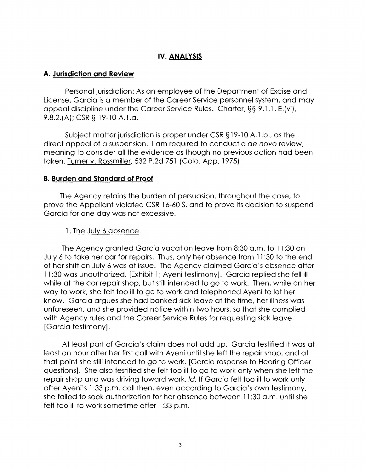# **IV. ANALYSIS**

## **A. Jurisdiction and Review**

Personal jurisdiction: As an employee of the Department of Excise and License, Garcia is a member of the Career Service personnel system, and may appeal discipline under the Career Service Rules. Charter,§§ 9.1. l. E.(vi), 9.8.2.(A); CSR § 19-10 A.1.a.

Subject matter jurisdiction is proper under CSR § 19-10 A.1.b., as the direct appeal of a suspension. I am required to conduct a de nova review, meaning to consider all the evidence as though no previous action had been taken. Turner v. Rossmiller, 532 P.2d 751 (Colo. App. 1975).

### **B. Burden and Standard of Proof**

The Agency retains the burden of persuasion, throughout the case, to prove the Appellant violated CSR 16-60 S, and to prove its decision to suspend Garcia for one day was not excessive.

### l. The July 6 absence.

The Agency granted Garcia vacation leave from 8:30 a.m. to 11 :30 on July 6 to take her car for repairs. Thus, only her absence from 11 :30 to the end of her shift on July 6 was at issue. The Agency claimed Garcia's absence after 11 :30 was unauthorized. [Exhibit l; Ayeni testimony]. Garcia replied she fell ill while at the car repair shop, but still intended to go to work. Then, while on her way to work, she felt too ill to go to work and telephoned Ayeni to let her know. Garcia argues she had banked sick leave at the time, her illness was unforeseen, and she provided notice within two hours, so that she complied with Agency rules and the Career Service Rules for requesting sick leave. [Garcia testimony].

At least part of Garcia's claim does not add up. Garcia testified it was at least an hour after her first call with Ayeni until she left the repair shop, and at that point she still intended to go to work. [Garcia response to Hearing Officer questions]. She also testified she felt too ill to go to work only when she left the repair shop and was driving toward work. Id. If Garcia felt too ill to work only after Ayeni's l :33 p.m. call then, even according to Garcia's own testimony, she failed to seek authorization for her absence between 11 :30 a.m. until she felt too ill to work sometime after 1:33 p.m.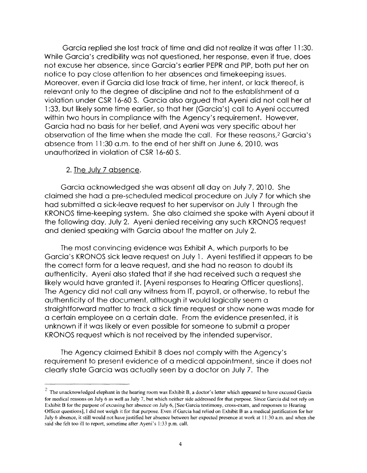Garcia replied she lost track of time and did not realize it was after 11 :30. While Garcia's credibility was not questioned, her response, even if true, does not excuse her absence, since Garcia's earlier PEPR and PIP, both put her on notice to pay close attention to her absences and timekeeping issues. Moreover, even if Garcia did lose track of time, her intent, or lack thereof, is relevant only to the degree of discipline and not to the establishment of a violation under CSR 16-60 S. Garcia also argued that Ayeni did not call her at l :33, but likely some time earlier, so that her (Garcia's) call to Ayeni occurred within two hours in compliance with the Agency's requirement. However, Garcia had no basis for her belief, and Ayeni was very specific about her observation of the time when she made the call. For these reasons,2 Garcia's absence from 11:30 a.m. to the end of her shift on June 6, 2010, was unauthorized in violation of CSR 16-60 S.

### 2. The July 7 absence.

Garcia acknowledged she was absent all day on July 7, 2010. She claimed she had a pre-scheduled medical procedure on July 7 for which she had submitted a sick-leave request to her supervisor on July l through the KRONOS time-keeping system. She also claimed she spoke with Ayeni about it the following day, July 2. Ayeni denied receiving any such KRONOS request and denied speaking with Garcia about the matter on July 2.

The most convincing evidence was Exhibit A, which purports to be Garcia's KRONOS sick leave request on July l. Ayeni testified it appears to be the correct form for a leave request, and she had no reason to doubt its authenticity. Ayeni also stated that if she had received such a request she likely would have granted it. [Ayeni responses to Hearing Officer questions]. The Agency did not call any witness from IT, payroll, or otherwise, to rebut the authenticity of the document, although it would logically seem a straightforward matter to track a sick time request or show none was made for a certain employee on a certain date. From the evidence presented, it is unknown if it was likely or even possible for someone to submit a proper KRONOS request which is not received by the intended supervisor.

The Agency claimed Exhibit B does not comply with the Agency's requirement to present evidence of a medical appointment, since it does not clearly state Garcia was actually seen by a doctor on July 7. The

 $2$  The unacknowledged elephant in the hearing room was Exhibit B, a doctor's letter which appeared to have excused Garcia for medical reasons on July 6 as well as July 7, but which neither side addressed for that purpose. Since Garcia did not rely on Exhibit B for the purpose of excusing her absence on July 6, [See Garcia testimony, cross-exam, and responses to Hearing Officer questions], I did not weigh it for that purpose. Even if Garcia had relied on Exhibit B as a medical justification for her July 6 absence, it still would not have justified her absence between her expected presence at work at 11 :30 a.m. and when she said she felt too ill to report, sometime after Ayeni's 1:33 p.m. call.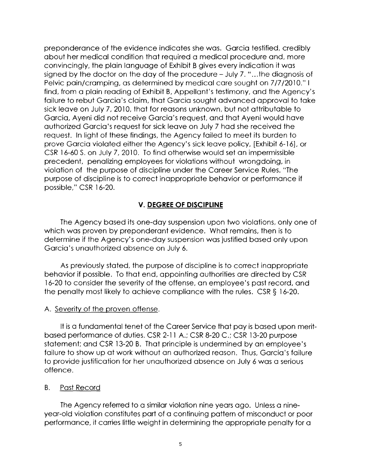preponderance of the evidence indicates she was. Garcia testified, credibly about her medical condition that required a medical procedure and, more convincingly, the plain language of Exhibit B gives every indication it was signed by the doctor on the day of the procedure - July 7. " ... the diagnosis of Pelvic pain/cramping, as determined by medical care sought on 7/7/2010." I find, from a plain reading of Exhibit B, Appellant's testimony, and the Agency's failure to rebut Garcia's claim, that Garcia sought advanced approval to take sick leave on July 7, 2010, that for reasons unknown, but not attributable to Garcia, Ayeni did not receive Garcia's request, and that Ayeni would have authorized Garcia's request for sick leave on July 7 had she received the request. In light of these findings, the Agency failed to meet its burden to prove Garcia violated either the Agency's sick leave policy, [Exhibit 6-16], or CSR 16-60 S. on July 7, 2010. To find otherwise would set an impermissible precedent, penalizing employees for violations without wrongdoing, in violation of the purpose of discipline under the Career Service Rules. "The purpose of discipline is to correct inappropriate behavior or performance if possible," CSR 16-20.

# **V. DEGREE OF DISCIPLINE**

The Agency based its one-day suspension upon two violations, only one of which was proven by preponderant evidence. What remains, then is to determine if the Agency's one-day suspension was justified based only upon Garcia's unauthorized absence on July 6.

As previously stated, the purpose of discipline is to correct inappropriate behavior if possible. To that end, appointing authorities are directed by CSR 16-20 to consider the severity of the offense, an employee's past record, and the penalty most likely to achieve compliance with the rules. CSR§ 16-20.

### A. Severity of the proven offense.

It is a fundamental tenet of the Career Service that pay is based upon meritbased performance of duties. CSR 2-11 A.; CSR 8-20 C.; CSR 13-20 purpose statement; and CSR 13-20 B. That principle is undermined by an employee's failure to show up at work without an authorized reason. Thus, Garcia's failure to provide justification for her unauthorized absence on July 6 was a serious offence.

### B. Past Record

The Agency referred to a similar violation nine years ago. Unless a nineyear-old violation constitutes part of a continuing pattern of misconduct or poor performance, it carries little weight in determining the appropriate penalty for a